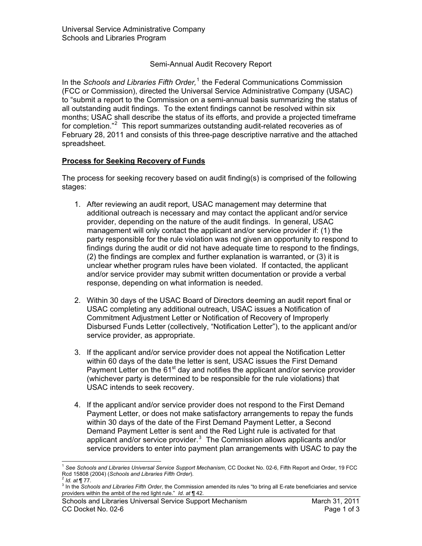## Semi-Annual Audit Recovery Report

In the *Schools and Libraries Fifth Order*,<sup>1</sup> the Federal Communications Commission (FCC or Commission), directed the Universal Service Administrative Company (USAC) to "submit a report to the Commission on a semi-annual basis summarizing the status of all outstanding audit findings. To the extent findings cannot be resolved within six months; USAC shall describe the status of its efforts, and provide a projected timeframe for completion."<sup>2</sup> This report summarizes outstanding audit-related recoveries as of February 28, 2011 and consists of this three-page descriptive narrative and the attached spreadsheet.

## **Process for Seeking Recovery of Funds**

The process for seeking recovery based on audit finding(s) is comprised of the following stages:

- 1. After reviewing an audit report, USAC management may determine that additional outreach is necessary and may contact the applicant and/or service provider, depending on the nature of the audit findings. In general, USAC management will only contact the applicant and/or service provider if: (1) the party responsible for the rule violation was not given an opportunity to respond to findings during the audit or did not have adequate time to respond to the findings, (2) the findings are complex and further explanation is warranted, or (3) it is unclear whether program rules have been violated. If contacted, the applicant and/or service provider may submit written documentation or provide a verbal response, depending on what information is needed.
- 2. Within 30 days of the USAC Board of Directors deeming an audit report final or USAC completing any additional outreach, USAC issues a Notification of Commitment Adjustment Letter or Notification of Recovery of Improperly Disbursed Funds Letter (collectively, "Notification Letter"), to the applicant and/or service provider, as appropriate.
- 3. If the applicant and/or service provider does not appeal the Notification Letter within 60 days of the date the letter is sent, USAC issues the First Demand Payment Letter on the  $61<sup>st</sup>$  day and notifies the applicant and/or service provider (whichever party is determined to be responsible for the rule violations) that USAC intends to seek recovery.
- 4. If the applicant and/or service provider does not respond to the First Demand Payment Letter, or does not make satisfactory arrangements to repay the funds within 30 days of the date of the First Demand Payment Letter, a Second Demand Payment Letter is sent and the Red Light rule is activated for that applicant and/or service provider. $3$  The Commission allows applicants and/or service providers to enter into payment plan arrangements with USAC to pay the

 $\overline{a}$ 

<sup>1</sup> *See Schools and Libraries Universal Service Support Mechanism*, CC Docket No. 02-6, Fifth Report and Order, 19 FCC Rcd 15808 (2004) (*Schools and Libraries Fifth Order*). <sup>2</sup> *Id. at* ¶ 77.

<sup>3</sup> In the *Schools and Libraries Fifth Order*, the Commission amended its rules "to bring all E-rate beneficiaries and service providers within the ambit of the red light rule." *Id. at* ¶ 42.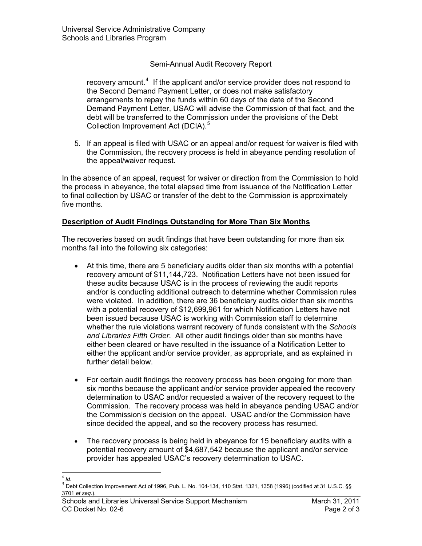# Semi-Annual Audit Recovery Report

recovery amount.<sup>4</sup> If the applicant and/or service provider does not respond to the Second Demand Payment Letter, or does not make satisfactory arrangements to repay the funds within 60 days of the date of the Second Demand Payment Letter, USAC will advise the Commission of that fact, and the debt will be transferred to the Commission under the provisions of the Debt Collection Improvement Act (DCIA).<sup>5</sup>

5. If an appeal is filed with USAC or an appeal and/or request for waiver is filed with the Commission, the recovery process is held in abeyance pending resolution of the appeal/waiver request.

In the absence of an appeal, request for waiver or direction from the Commission to hold the process in abeyance, the total elapsed time from issuance of the Notification Letter to final collection by USAC or transfer of the debt to the Commission is approximately five months.

## **Description of Audit Findings Outstanding for More Than Six Months**

The recoveries based on audit findings that have been outstanding for more than six months fall into the following six categories:

- At this time, there are 5 beneficiary audits older than six months with a potential recovery amount of \$11,144,723. Notification Letters have not been issued for these audits because USAC is in the process of reviewing the audit reports and/or is conducting additional outreach to determine whether Commission rules were violated. In addition, there are 36 beneficiary audits older than six months with a potential recovery of \$12,699,961 for which Notification Letters have not been issued because USAC is working with Commission staff to determine whether the rule violations warrant recovery of funds consistent with the *Schools and Libraries Fifth Order*. All other audit findings older than six months have either been cleared or have resulted in the issuance of a Notification Letter to either the applicant and/or service provider, as appropriate, and as explained in further detail below.
- For certain audit findings the recovery process has been ongoing for more than six months because the applicant and/or service provider appealed the recovery determination to USAC and/or requested a waiver of the recovery request to the Commission. The recovery process was held in abeyance pending USAC and/or the Commission's decision on the appeal. USAC and/or the Commission have since decided the appeal, and so the recovery process has resumed.
- The recovery process is being held in abeyance for 15 beneficiary audits with a potential recovery amount of \$4,687,542 because the applicant and/or service provider has appealed USAC's recovery determination to USAC.

 $\overline{a}$  $4$  *Id.* 

 $^5$  Debt Collection Improvement Act of 1996, Pub. L. No. 104-134, 110 Stat. 1321, 1358 (1996) (codified at 31 U.S.C. §§ 3701 *et seq*.).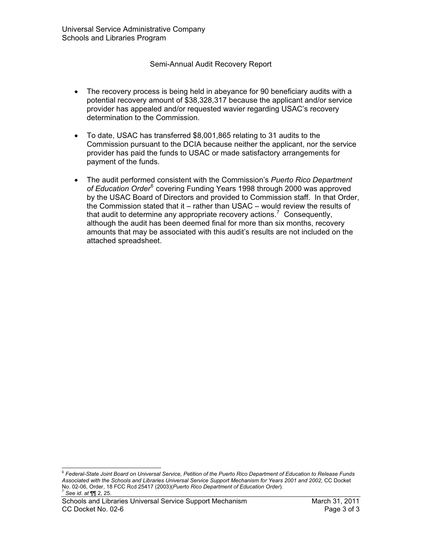#### Semi-Annual Audit Recovery Report

- $\bullet$  The recovery process is being held in abeyance for 90 beneficiary audits with a potential recovery amount of \$38,328,317 because the applicant and/or service provider has appealed and/or requested wavier regarding USAC's recovery determination to the Commission.
- To date, USAC has transferred \$8,001,865 relating to 31 audits to the Commission pursuant to the DCIA because neither the applicant, nor the service provider has paid the funds to USAC or made satisfactory arrangements for payment of the funds.
- The audit performed consistent with the Commission's *Puerto Rico Department of Education Order*<sup>6</sup> covering Funding Years 1998 through 2000 was approved by the USAC Board of Directors and provided to Commission staff. In that Order, the Commission stated that it – rather than USAC – would review the results of that audit to determine any appropriate recovery actions.<sup>7</sup> Consequently, although the audit has been deemed final for more than six months, recovery amounts that may be associated with this audit's results are not included on the attached spreadsheet.

 $\overline{a}$ 

<sup>6</sup> *Federal-State Joint Board on Universal Service, Petition of the Puerto Rico Department of Education to Release Funds Associated with the Schools and Libraries Universal Service Support Mechanism for Years 2001 and 2002,* CC Docket No. 02-06, Order, 18 FCC Rcd 25417 (2003)(*Puerto Rico Department of Education Order*). <sup>7</sup> *See id*. *at* ¶¶ 2, 25.